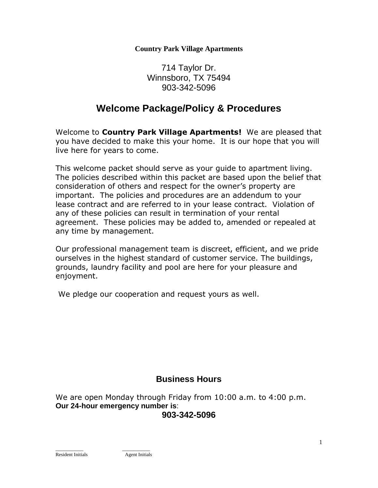**Country Park Village Apartments**

714 Taylor Dr. Winnsboro, TX 75494 903-342-5096

# **Welcome Package/Policy & Procedures**

Welcome to **Country Park Village Apartments!** We are pleased that you have decided to make this your home. It is our hope that you will live here for years to come.

This welcome packet should serve as your guide to apartment living. The policies described within this packet are based upon the belief that consideration of others and respect for the owner's property are important. The policies and procedures are an addendum to your lease contract and are referred to in your lease contract. Violation of any of these policies can result in termination of your rental agreement. These policies may be added to, amended or repealed at any time by management.

Our professional management team is discreet, efficient, and we pride ourselves in the highest standard of customer service. The buildings, grounds, laundry facility and pool are here for your pleasure and enjoyment.

We pledge our cooperation and request yours as well.

## **Business Hours**

We are open Monday through Friday from 10:00 a.m. to 4:00 p.m. **Our 24-hour emergency number is**: **903-342-5096**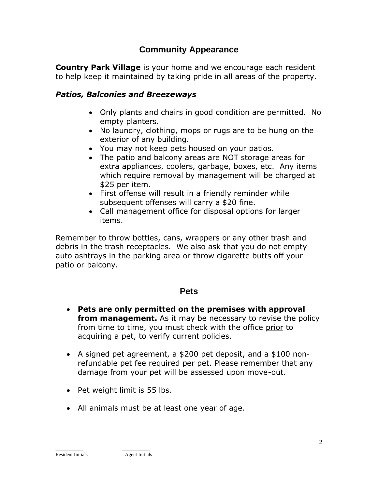## **Community Appearance**

**Country Park Village** is your home and we encourage each resident to help keep it maintained by taking pride in all areas of the property.

## *Patios, Balconies and Breezeways*

- Only plants and chairs in good condition are permitted. No empty planters.
- No laundry, clothing, mops or rugs are to be hung on the exterior of any building.
- You may not keep pets housed on your patios.
- The patio and balcony areas are NOT storage areas for extra appliances, coolers, garbage, boxes, etc. Any items which require removal by management will be charged at \$25 per item.
- First offense will result in a friendly reminder while subsequent offenses will carry a \$20 fine.
- Call management office for disposal options for larger items.

Remember to throw bottles, cans, wrappers or any other trash and debris in the trash receptacles. We also ask that you do not empty auto ashtrays in the parking area or throw cigarette butts off your patio or balcony.

## **Pets**

- **Pets are only permitted on the premises with approval from management.** As it may be necessary to revise the policy from time to time, you must check with the office prior to acquiring a pet, to verify current policies.
- A signed pet agreement, a \$200 pet deposit, and a \$100 nonrefundable pet fee required per pet. Please remember that any damage from your pet will be assessed upon move-out.
- Pet weight limit is 55 lbs.

 $\_$ 

• All animals must be at least one year of age.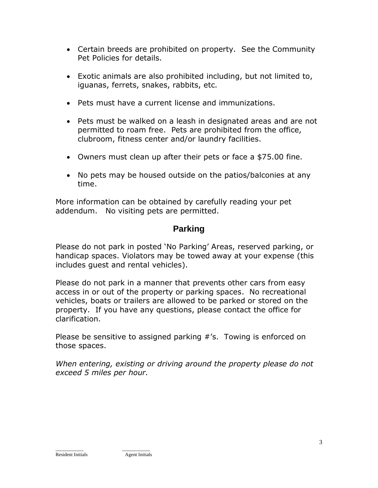- Certain breeds are prohibited on property. See the Community Pet Policies for details.
- Exotic animals are also prohibited including, but not limited to, iguanas, ferrets, snakes, rabbits, etc.
- Pets must have a current license and immunizations.
- Pets must be walked on a leash in designated areas and are not permitted to roam free. Pets are prohibited from the office, clubroom, fitness center and/or laundry facilities.
- Owners must clean up after their pets or face a \$75.00 fine.
- No pets may be housed outside on the patios/balconies at any time.

More information can be obtained by carefully reading your pet addendum. No visiting pets are permitted.

## **Parking**

Please do not park in posted 'No Parking' Areas, reserved parking, or handicap spaces. Violators may be towed away at your expense (this includes guest and rental vehicles).

Please do not park in a manner that prevents other cars from easy access in or out of the property or parking spaces. No recreational vehicles, boats or trailers are allowed to be parked or stored on the property. If you have any questions, please contact the office for clarification.

Please be sensitive to assigned parking #'s. Towing is enforced on those spaces.

*When entering, existing or driving around the property please do not exceed 5 miles per hour.*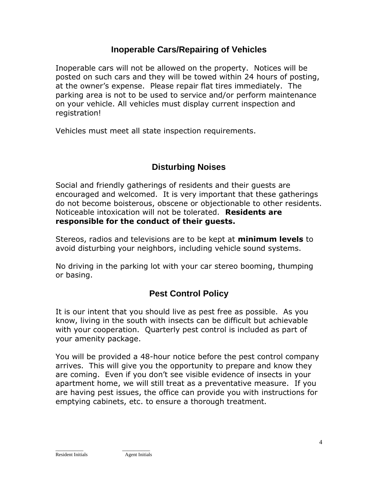## **Inoperable Cars/Repairing of Vehicles**

Inoperable cars will not be allowed on the property. Notices will be posted on such cars and they will be towed within 24 hours of posting, at the owner's expense. Please repair flat tires immediately. The parking area is not to be used to service and/or perform maintenance on your vehicle. All vehicles must display current inspection and registration!

Vehicles must meet all state inspection requirements.

# **Disturbing Noises**

Social and friendly gatherings of residents and their guests are encouraged and welcomed. It is very important that these gatherings do not become boisterous, obscene or objectionable to other residents. Noticeable intoxication will not be tolerated. **Residents are responsible for the conduct of their guests.** 

Stereos, radios and televisions are to be kept at **minimum levels** to avoid disturbing your neighbors, including vehicle sound systems.

No driving in the parking lot with your car stereo booming, thumping or basing.

## **Pest Control Policy**

It is our intent that you should live as pest free as possible. As you know, living in the south with insects can be difficult but achievable with your cooperation. Quarterly pest control is included as part of your amenity package.

You will be provided a 48-hour notice before the pest control company arrives. This will give you the opportunity to prepare and know they are coming. Even if you don't see visible evidence of insects in your apartment home, we will still treat as a preventative measure. If you are having pest issues, the office can provide you with instructions for emptying cabinets, etc. to ensure a thorough treatment.

 $\_$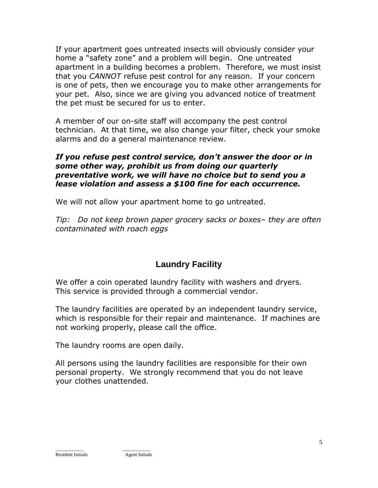If your apartment goes untreated insects will obviously consider your home a "safety zone" and a problem will begin. One untreated apartment in a building becomes a problem. Therefore, we must insist that you *CANNOT* refuse pest control for any reason. If your concern is one of pets, then we encourage you to make other arrangements for your pet. Also, since we are giving you advanced notice of treatment the pet must be secured for us to enter.

A member of our on-site staff will accompany the pest control technician. At that time, we also change your filter, check your smoke alarms and do a general maintenance review.

#### *If you refuse pest control service, don't answer the door or in some other way, prohibit us from doing our quarterly preventative work, we will have no choice but to send you a lease violation and assess a \$100 fine for each occurrence.*

We will not allow your apartment home to go untreated.

*Tip: Do not keep brown paper grocery sacks or boxes– they are often contaminated with roach eggs*

# **Laundry Facility**

We offer a coin operated laundry facility with washers and dryers. This service is provided through a commercial vendor.

The laundry facilities are operated by an independent laundry service, which is responsible for their repair and maintenance. If machines are not working properly, please call the office.

The laundry rooms are open daily.

All persons using the laundry facilities are responsible for their own personal property. We strongly recommend that you do not leave your clothes unattended.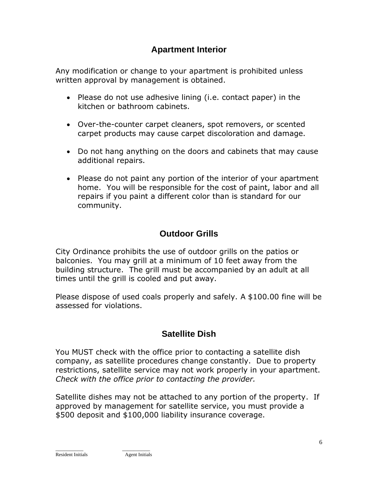## **Apartment Interior**

Any modification or change to your apartment is prohibited unless written approval by management is obtained.

- Please do not use adhesive lining (i.e. contact paper) in the kitchen or bathroom cabinets.
- Over-the-counter carpet cleaners, spot removers, or scented carpet products may cause carpet discoloration and damage.
- Do not hang anything on the doors and cabinets that may cause additional repairs.
- Please do not paint any portion of the interior of your apartment home. You will be responsible for the cost of paint, labor and all repairs if you paint a different color than is standard for our community.

# **Outdoor Grills**

City Ordinance prohibits the use of outdoor grills on the patios or balconies. You may grill at a minimum of 10 feet away from the building structure. The grill must be accompanied by an adult at all times until the grill is cooled and put away.

Please dispose of used coals properly and safely. A \$100.00 fine will be assessed for violations.

## **Satellite Dish**

You MUST check with the office prior to contacting a satellite dish company, as satellite procedures change constantly. Due to property restrictions, satellite service may not work properly in your apartment. *Check with the office prior to contacting the provider.* 

Satellite dishes may not be attached to any portion of the property. If approved by management for satellite service, you must provide a \$500 deposit and \$100,000 liability insurance coverage.

 $\_$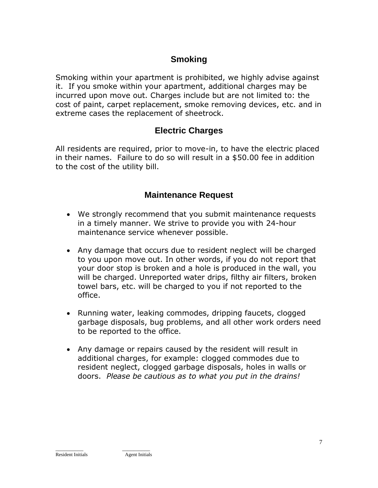## **Smoking**

Smoking within your apartment is prohibited, we highly advise against it. If you smoke within your apartment, additional charges may be incurred upon move out. Charges include but are not limited to: the cost of paint, carpet replacement, smoke removing devices, etc. and in extreme cases the replacement of sheetrock.

## **Electric Charges**

All residents are required, prior to move-in, to have the electric placed in their names. Failure to do so will result in a \$50.00 fee in addition to the cost of the utility bill.

## **Maintenance Request**

- We strongly recommend that you submit maintenance requests in a timely manner. We strive to provide you with 24-hour maintenance service whenever possible.
- Any damage that occurs due to resident neglect will be charged to you upon move out. In other words, if you do not report that your door stop is broken and a hole is produced in the wall, you will be charged. Unreported water drips, filthy air filters, broken towel bars, etc. will be charged to you if not reported to the office.
- Running water, leaking commodes, dripping faucets, clogged garbage disposals, bug problems, and all other work orders need to be reported to the office.
- Any damage or repairs caused by the resident will result in additional charges, for example: clogged commodes due to resident neglect, clogged garbage disposals, holes in walls or doors. *Please be cautious as to what you put in the drains!*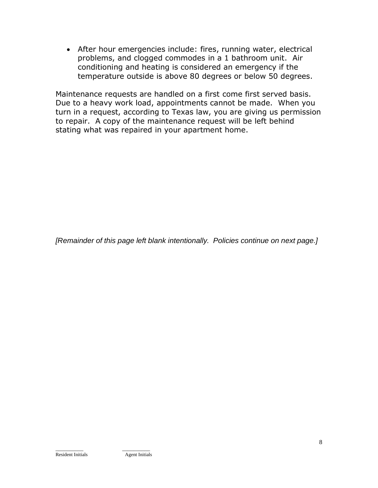• After hour emergencies include: fires, running water, electrical problems, and clogged commodes in a 1 bathroom unit. Air conditioning and heating is considered an emergency if the temperature outside is above 80 degrees or below 50 degrees.

Maintenance requests are handled on a first come first served basis. Due to a heavy work load, appointments cannot be made. When you turn in a request, according to Texas law, you are giving us permission to repair. A copy of the maintenance request will be left behind stating what was repaired in your apartment home.

*[Remainder of this page left blank intentionally. Policies continue on next page.]*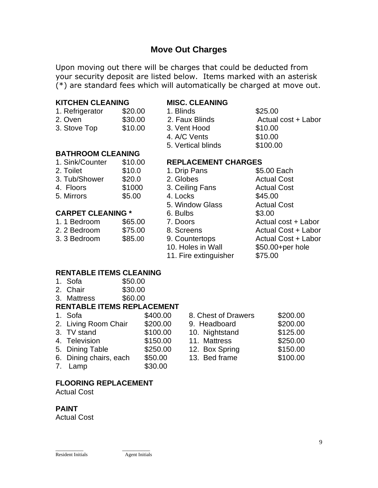## **Move Out Charges**

Upon moving out there will be charges that could be deducted from your security deposit are listed below. Items marked with an asterisk (\*) are standard fees which will automatically be charged at move out.

#### **KITCHEN CLEANING MISC. CLEANING**

| 1. Refrigerator | \$20.00        |
|-----------------|----------------|
| 2. Oven         | \$30.00        |
| 3 Stove Ton     | <b>ደ</b> 10.00 |

1. Blinds \$25.00 2. Faux Blinds **Actual cost + Labor** 3. Stove Top \$10.00 3. Vent Hood \$10.00 4. A/C Vents \$10.00 5. Vertical blinds \$100.00

#### **BATHROOM CLEANING**

| 1. Sink/Counter | \$10.00 |
|-----------------|---------|
| 2. Toilet       | \$10.0  |
| 3. Tub/Shower   | \$20.0  |
| 4. Floors       | \$1000  |
| 5. Mirrors      | \$5.00  |
|                 |         |

#### **CARPET CLEANING** \*

| 1.1 Bedroom  | \$65.00 |
|--------------|---------|
| 2. 2 Bedroom | \$75.00 |
| 3.3 Bedroom  | \$85.00 |

#### 1. **REPLACEMENT CHARGES**<br>1. Drin Pans 1. S5.00 Each 1. Drin Pans

|                          | .       |                       | vv.vv =uv.i                |
|--------------------------|---------|-----------------------|----------------------------|
| 3. Tub/Shower            | \$20.0  | 2. Globes             | <b>Actual Cost</b>         |
| 4. Floors                | \$1000  | 3. Ceiling Fans       | <b>Actual Cost</b>         |
| 5. Mirrors               | \$5.00  | 4. Locks              | \$45.00                    |
|                          |         | 5. Window Glass       | <b>Actual Cost</b>         |
| <b>CARPET CLEANING *</b> |         | 6. Bulbs              | \$3.00                     |
| 1.1 Bedroom              | \$65.00 | 7. Doors              | Actual cost + Labor        |
| 2.2 Bedroom              | \$75.00 | 8. Screens            | <b>Actual Cost + Labor</b> |
| 3.3 Bedroom              | \$85.00 | 9. Countertops        | <b>Actual Cost + Labor</b> |
|                          |         | 10. Holes in Wall     | \$50.00+per hole           |
|                          |         | 11. Fire extinguisher | \$75.00                    |
|                          |         |                       |                            |

#### **RENTABLE ITEMS CLEANING**

- 1. Sofa \$50.00
- 2. Chair \$30.00
- 3. Mattress \$60.00

#### **RENTABLE ITEMS REPLACEMENT**

| 1. Sofa                | \$400.00 |
|------------------------|----------|
| 2. Living Room Chair   | \$200.00 |
| 3. TV stand            | \$100.00 |
| 4. Television          | \$150.00 |
| 5. Dining Table        | \$250.00 |
| 6. Dining chairs, each | \$50.00  |
|                        |          |

7. Lamp \$30.00

#### 8. Chest of Drawers \$200.00 9. Headboard \$200.00 10. Nightstand \$125.00 11. Mattress \$250.00 12. Box Spring \$150.00 6. Dining chairs, each \$50.00 13. Bed frame \$100.00

#### **FLOORING REPLACEMENT**

Actual Cost

#### **PAINT**

Actual Cost

#### $\_$ Resident Initials Agent Initials